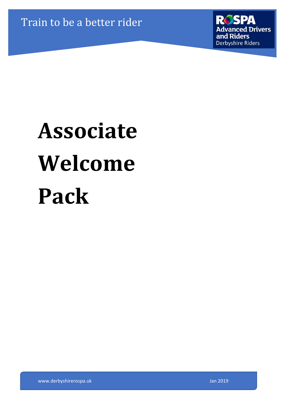

# **Associate Welcome Pack**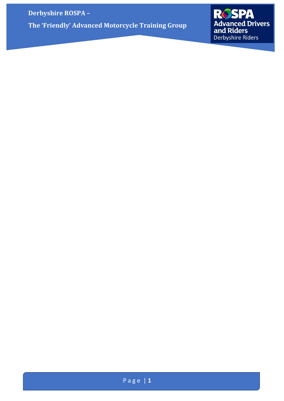**Derbyshire ROSPA -**

The 'Friendly' Advanced Motorcycle Training Group

**ROSPA Advanced Drivers**<br>and Riders Derbyshire Riders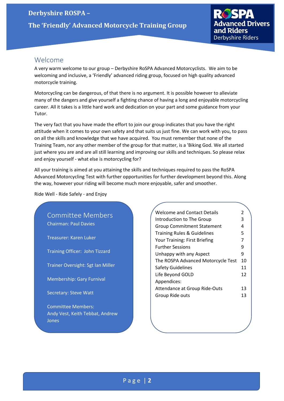

#### Welcome

A very warm welcome to our group – Derbyshire RoSPA Advanced Motorcyclists. We aim to be welcoming and inclusive, a 'Friendly' advanced riding group, focused on high quality advanced motorcycle training.

Motorcycling can be dangerous, of that there is no argument. It is possible however to alleviate many of the dangers and give yourself a fighting chance of having a long and enjoyable motorcycling career. All it takes is a little hard work and dedication on your part and some guidance from your Tutor.

The very fact that you have made the effort to join our group indicates that you have the right attitude when it comes to your own safety and that suits us just fine. We can work with you, to pass on all the skills and knowledge that we have acquired. You must remember that none of the Training Team, nor any other member of the group for that matter, is a 'Biking God. We all started just where you are and are all still learning and improving our skills and techniques. So please relax and enjoy yourself - what else is motorcycling for?

All your training is aimed at you attaining the skills and techniques required to pass the RoSPA Advanced Motorcycling Test with further opportunities for further development beyond this. Along the way, however your riding will become much more enjoyable, safer and smoother.

Ride Well - Ride Safely - and Enjoy

# Committee Members Chairman: Paul Davies Treasurer: Karen Luker Training Officer: John Tizzard Trainer Oversight: Sgt Ian Miller Membership: Gary Furnival Secretary: Steve Watt

Committee Members: Andy Vest, Keith Tebbat, Andrew Jones

| <b>Welcome and Contact Details</b>     | 2  |
|----------------------------------------|----|
| Introduction to The Group              | 3  |
| <b>Group Commitment Statement</b>      | 4  |
| <b>Training Rules &amp; Guidelines</b> | 5  |
| Your Training: First Briefing          | 7  |
| <b>Further Sessions</b>                | 9  |
| Unhappy with any Aspect                | 9  |
| The ROSPA Advanced Motorcycle Test     | 10 |
| <b>Safety Guidelines</b>               | 11 |
| Life Beyond GOLD                       | 12 |
| Appendices:                            |    |
| <b>Attendance at Group Ride-Outs</b>   | 13 |
| Group Ride outs                        | 13 |
|                                        |    |

#### P a g e | **2**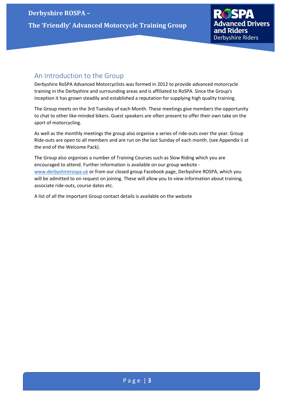# An Introduction to the Group

Derbyshire RoSPA Advanced Motorcyclists was formed in 2012 to provide advanced motorcycle training in the Derbyshire and surrounding areas and is affiliated to RoSPA. Since the Group's inception it has grown steadily and established a reputation for supplying high quality training.

The Group meets on the 3rd Tuesday of each Month. These meetings give members the opportunity to chat to other like-minded bikers. Guest speakers are often present to offer their own take on the sport of motorcycling.

As well as the monthly meetings the group also organise a series of ride-outs over the year. Group Ride-outs are open to all members and are run on the last Sunday of each month. (see Appendix ii at the end of the Welcome Pack).

The Group also organises a number of Training Courses such as Slow Riding which you are encouraged to attend. Further information is available on our group website [www.derbyshirerospa.uk](http://www.derbyshirerospa.uk/) or from our closed group Facebook page, Derbyshire ROSPA, which you will be admitted to on request on joining. These will allow you to view information about training, associate ride-outs, course dates etc.

A list of all the important Group contact details is available on the website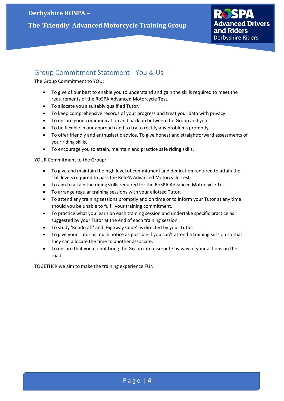

### Group Commitment Statement - You & Us

The Group Commitment to YOU:

- To give of our best to enable you to understand and gain the skills required to meet the requirements of the RoSPA Advanced Motorcycle Test.
- To allocate you a suitably qualified Tutor.
- To keep comprehensive records of your progress and treat your data with privacy.
- To ensure good communication and back up between the Group and you.
- To be flexible in our approach and to try to rectify any problems promptly.
- To offer friendly and enthusiastic advice. To give honest and straightforward assessments of your riding skills.
- To encourage you to attain, maintain and practice safe riding skills.

YOUR Commitment to the Group:

- To give and maintain the high level of commitment and dedication required to attain the skill levels required to pass the RoSPA Advanced Motorcycle Test.
- To aim to attain the riding skills required for the RoSPA Advanced Motorcycle Test
- To arrange regular training sessions with your allotted Tutor.
- To attend any training sessions promptly and on time or to inform your Tutor at any time should you be unable to fulfil your training commitment.
- To practice what you learn on each training session and undertake specific practice as suggested by your Tutor at the end of each training session.
- To study 'Roadcraft' and 'Highway Code' as directed by your Tutor.
- To give your Tutor as much notice as possible if you can't attend a training session so that they can allocate the time to another associate.
- To ensure that you do not bring the Group into disrepute by way of your actions on the road.

TOGETHER we aim to make the training experience FUN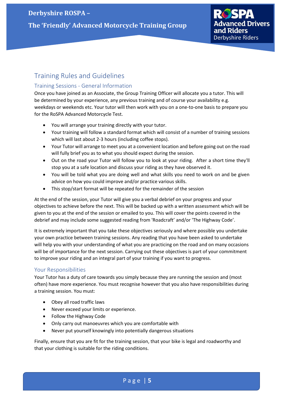# Training Rules and Guidelines

#### Training Sessions - General Information

Once you have joined as an Associate, the Group Training Officer will allocate you a tutor. This will be determined by your experience, any previous training and of course your availability e.g. weekdays or weekends etc. Your tutor will then work with you on a one-to-one basis to prepare you for the RoSPA Advanced Motorcycle Test.

- You will arrange your training directly with your tutor.
- Your training will follow a standard format which will consist of a number of training sessions which will last about 2-3 hours (including coffee stops).
- Your Tutor will arrange to meet you at a convenient location and before going out on the road will fully brief you as to what you should expect during the session.
- Out on the road your Tutor will follow you to look at your riding. After a short time they'll stop you at a safe location and discuss your riding as they have observed it.
- You will be told what you are doing well and what skills you need to work on and be given advice on how you could improve and/or practice various skills.
- This stop/start format will be repeated for the remainder of the session

At the end of the session, your Tutor will give you a verbal debrief on your progress and your objectives to achieve before the next. This will be backed up with a written assessment which will be given to you at the end of the session or emailed to you. This will cover the points covered in the debrief and may include some suggested reading from 'Roadcraft' and/or 'The Highway Code'.

It is extremely important that you take these objectives seriously and where possible you undertake your own practice between training sessions. Any reading that you have been asked to undertake will help you with your understanding of what you are practicing on the road and on many occasions will be of importance for the next session. Carrying out these objectives is part of your commitment to improve your riding and an integral part of your training if you want to progress.

#### Your Responsibilities

Your Tutor has a duty of care towards you simply because they are running the session and (most often) have more experience. You must recognise however that you also have responsibilities during a training session. You must:

- Obey all road traffic laws
- Never exceed your limits or experience.
- Follow the Highway Code
- Only carry out manoeuvres which you are comfortable with
- Never put yourself knowingly into potentially dangerous situations

Finally, ensure that you are fit for the training session, that your bike is legal and roadworthy and that your clothing is suitable for the riding conditions.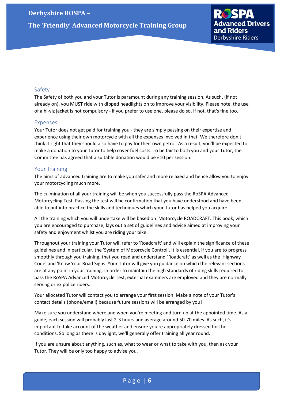#### Safety

The Safety of both you and your Tutor is paramount during any training session, As such, (if not already on), you MUST ride with dipped headlights on to improve your visibility. Please note, the use of a hi-viz jacket is not compulsory - if you prefer to use one, please do so. If not, that's fine too.

#### Expenses

Your Tutor does not get paid for training you - they are simply passing on their expertise and experience using their own motorcycle with all the expenses involved in that. We therefore don't think it right that they should also have to pay for their own petrol. As a result, you'll be expected to make a donation to your Tutor to help cover fuel costs. To be fair to both you and your Tutor, the Committee has agreed that a suitable donation would be £10 per session.

#### Your Training

The aims of advanced training are to make you safer and more relaxed and hence allow you to enjoy your motorcycling much more.

The culmination of all your training will be when you successfully pass the RoSPA Advanced Motorcycling Test. Passing the test will be confirmation that you have understood and have been able to put into practice the skills and techniques which your Tutor has helped you acquire.

All the training which you will undertake will be based on 'Motorcycle ROADCRAFT. This book, which you are encouraged to purchase, lays out a set of guidelines and advice aimed at improving your safety and enjoyment whilst you are riding your bike.

Throughout your training your Tutor will refer to 'Roadcraft' and will explain the significance of these guidelines and in particular, the 'System of Motorcycle Control'. It is essential, if you are to progress smoothly through you training, that you read and understand `Roadcraft' as well as the 'Highway Code' and 'Know Your Road Signs. Your Tutor will give you guidance on which the relevant sections are at any point in your training. In order to maintain the high standards of riding skills required to pass the RoSPA Advanced Motorcycle Test, external examiners are employed and they are normally serving or ex police riders.

Your allocated Tutor will contact you to arrange your first session. Make a note of your Tutor's contact details (phone/email) because future sessions will be arranged by you!

Make sure you understand where and when you're meeting and turn up at the appointed time. As a guide, each session will probably last 2-3 hours and average around 50-70 miles. As such, it's important to take account of the weather and ensure you're appropriately dressed for the conditions. So long as there is daylight, we'll generally offer training all year round.

If you are unsure about anything, such as, what to wear or what to take with you, then ask your Tutor. They will be only too happy to advise you.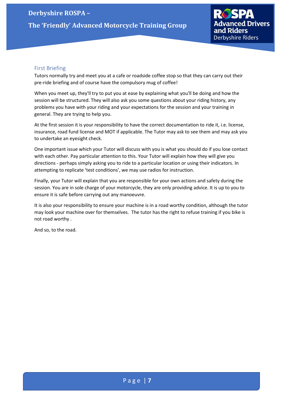

#### First Briefing

Tutors normally try and meet you at a cafe or roadside coffee stop so that they can carry out their pre-ride briefing and of course have the compulsory mug of coffee!

When you meet up, they'll try to put you at ease by explaining what you'll be doing and how the session will be structured. They will also ask you some questions about your riding history, any problems you have with your riding and your expectations for the session and your training in general. They are trying to help you.

At the first session it is your responsibility to have the correct documentation to ride it, i.e. license, insurance, road fund license and MOT if applicable. The Tutor may ask to see them and may ask you to undertake an eyesight check.

One important issue which your Tutor will discuss with you is what you should do if you lose contact with each other. Pay particular attention to this. Your Tutor will explain how they will give you directions - perhaps simply asking you to ride to a particular location or using their indicators. In attempting to replicate 'test conditions', we may use radios for instruction.

Finally, your Tutor will explain that you are responsible for your own actions and safety during the session. You are in sole charge of your motorcycle, they are only providing advice. It is up to you to ensure it is safe before carrying out any manoeuvre.

It is also your responsibility to ensure your machine is in a road worthy condition, although the tutor may look your machine over for themselves. The tutor has the right to refuse training if you bike is not road worthy .

And so, to the road.

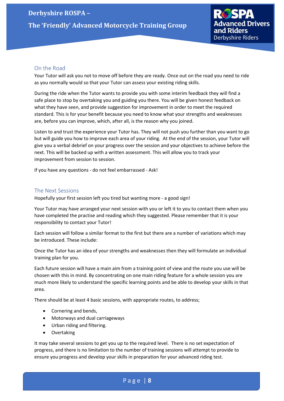#### On the Road

Your Tutor will ask you not to move off before they are ready. Once out on the road you need to ride as you normally would so that your Tutor can assess your existing riding skills.

During the ride when the Tutor wants to provide you with some interim feedback they will find a safe place to stop by overtaking you and guiding you there. You will be given honest feedback on what they have seen, and provide suggestion for improvement in order to meet the required standard. This is for your benefit because you need to know what your strengths and weaknesses are, before you can improve, which, after all, is the reason why you joined.

Listen to and trust the experience your Tutor has. They will not push you further than you want to go but will guide you how to improve each area of your riding. At the end of the session, your Tutor will give you a verbal debrief on your progress over the session and your objectives to achieve before the next. This will be backed up with a written assessment. This will allow you to track your improvement from session to session.

If you have any questions - do not feel embarrassed - Ask!

#### The Next Sessions

Hopefully your first session left you tired but wanting more - a good sign!

Your Tutor may have arranged your next session with you or left it to you to contact them when you have completed the practise and reading which they suggested. Please remember that it is your responsibility to contact your Tutor!

Each session will follow a similar format to the first but there are a number of variations which may be introduced. These include:

Once the Tutor has an idea of your strengths and weaknesses then they will formulate an individual training plan for you.

Each future session will have a main aim from a training point of view and the route you use will be chosen with this in mind. By concentrating on one main riding feature for a whole session you are much more likely to understand the specific learning points and be able to develop your skills in that area.

There should be at least 4 basic sessions, with appropriate routes, to address;

- Cornering and bends,
- Motorways and dual carriageways
- Urban riding and filtering.
- Overtaking

It may take several sessions to get you up to the required level. There is no set expectation of progress, and there is no limitation to the number of training sessions will attempt to provide to ensure you progress and develop your skills in preparation for your advanced riding test.

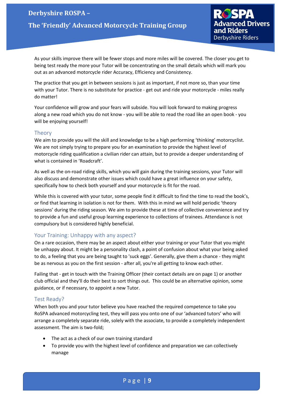As your skills improve there will be fewer stops and more miles will be covered. The closer you get to being test ready the more your Tutor will be concentrating on the small details which will mark you out as an advanced motorcycle rider Accuracy, Efficiency and Consistency.

**Advanced Drivers** 

and Riders **Derbyshire Riders** 

The practice that you get in between sessions is just as important, if not more so, than your time with your Tutor. There is no substitute for practice - get out and ride your motorcycle - miles really do matter!

Your confidence will grow and your fears will subside. You will look forward to making progress along a new road which you do not know - you will be able to read the road like an open book - you will be enjoying yourself!

#### Theory

We aim to provide you will the skill and knowledge to be a high performing 'thinking' motorcyclist. We are not simply trying to prepare you for an examination to provide the highest level of motorcycle riding qualification a civilian rider can attain, but to provide a deeper understanding of what is contained in 'Roadcraft'.

As well as the on-road riding skills, which you will gain during the training sessions, your Tutor will also discuss and demonstrate other issues which could have a great influence on your safety, specifically how to check both yourself and your motorcycle is fit for the road.

While this is covered with your tutor, some people find it difficult to find the time to read the book's, or find that learning in isolation is not for them. With this in mind we will hold periodic 'theory sessions' during the riding season. We aim to provide these at time of collective convenience and try to provide a fun and useful group learning experience to collections of trainees. Attendance is not compulsory but is considered highly beneficial.

#### Your Training: Unhappy with any aspect?

On a rare occasion, there may be an aspect about either your training or your Tutor that you might be unhappy about. It might be a personality clash, a point of confusion about what your being asked to do, a feeling that you are being taught to 'suck eggs'. Generally, give them a chance - they might be as nervous as you on the first session - after all, you're all getting to know each other.

Failing that - get in touch with the Training Officer (their contact details are on page 1) or another club official and they'll do their best to sort things out. This could be an alternative opinion, some guidance, or if necessary, to appoint a new Tutor.

#### Test Ready?

When both you and your tutor believe you have reached the required competence to take you RoSPA advanced motorcycling test, they will pass you onto one of our 'advanced tutors' who will arrange a completely separate ride, solely with the associate, to provide a completely independent assessment. The aim is two-fold;

- The act as a check of our own training standard
- To provide you with the highest level of confidence and preparation we can collectively manage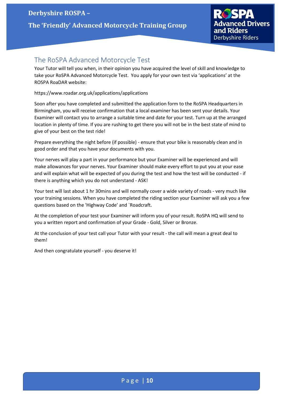## The RoSPA Advanced Motorcycle Test

Your Tutor will tell you when, in their opinion you have acquired the level of skill and knowledge to take your RoSPA Advanced Motorcycle Test. You apply for your own test via 'applications' at the ROSPA RoaDAR website:

#### https://www.roadar.org.uk/applications/applications

Soon after you have completed and submitted the application form to the RoSPA Headquarters in Birmingham, you will receive confirmation that a local examiner has been sent your details. Your Examiner will contact you to arrange a suitable time and date for your test. Turn up at the arranged location in plenty of time. If you are rushing to get there you will not be in the best state of mind to give of your best on the test ride!

Prepare everything the night before (if possible) - ensure that your bike is reasonably clean and in good order and that you have your documents with you.

Your nerves will play a part in your performance but your Examiner will be experienced and will make allowances for your nerves. Your Examiner should make every effort to put you at your ease and will explain what will be expected of you during the test and how the test will be conducted - if there is anything which you do not understand - ASK!

Your test will last about 1 hr 30mins and will normally cover a wide variety of roads - very much like your training sessions. When you have completed the riding section your Examiner will ask you a few questions based on the 'Highway Code' and `Roadcraft.

At the completion of your test your Examiner will inform you of your result. RoSPA HQ will send to you a written report and confirmation of your Grade - Gold, Silver or Bronze.

At the conclusion of your test call your Tutor with your result - the call will mean a great deal to them!

And then congratulate yourself - you deserve it!

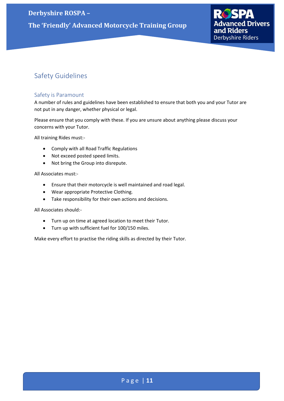# Safety Guidelines

#### Safety is Paramount

A number of rules and guidelines have been established to ensure that both you and your Tutor are not put in any danger, whether physical or legal.

Please ensure that you comply with these. If you are unsure about anything please discuss your concerns with your Tutor.

All training Rides must:-

- Comply with all Road Traffic Regulations
- Not exceed posted speed limits.
- Not bring the Group into disrepute.

All Associates must:-

- Ensure that their motorcycle is well maintained and road legal.
- Wear appropriate Protective Clothing.
- Take responsibility for their own actions and decisions.

All Associates should:-

- Turn up on time at agreed location to meet their Tutor.
- Turn up with sufficient fuel for 100/150 miles.

Make every effort to practise the riding skills as directed by their Tutor.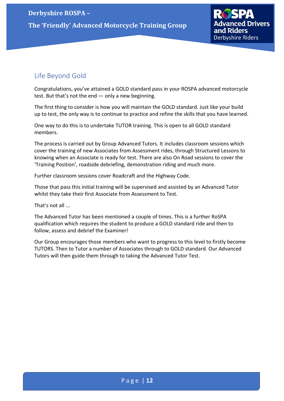# Life Beyond Gold

Congratulations, you've attained a GOLD standard pass in your ROSPA advanced motorcycle test. But that's not the end — only a new beginning.

The first thing to consider is how you will maintain the GOLD standard. Just like your build up to test, the only way is to continue to practice and refine the skills that you have learned.

One way to do this is to undertake TUTOR training. This is open to all GOLD standard members.

The process is carried out by Group Advanced Tutors. It includes classroom sessions which cover the training of new Associates from Assessment rides, through Structured Lessons to knowing when an Associate is ready for test. There are also On Road sessions to cover the 'Training Position', roadside debriefing, demonstration riding and much more.

Further classroom sessions cover Roadcraft and the Highway Code.

Those that pass this initial training will be supervised and assisted by an Advanced Tutor whilst they take their first Associate from Assessment to Test.

That's not all ...

The Advanced Tutor has been mentioned a couple of times. This is a further RoSPA qualification which requires the student to produce a GOLD standard ride and then to follow, assess and debrief the Examiner!

Our Group encourages those members who want to progress to this level to firstly become TUTORS. Then to Tutor a number of Associates through to GOLD standard. Our Advanced Tutors will then guide them through to taking the Advanced Tutor Test.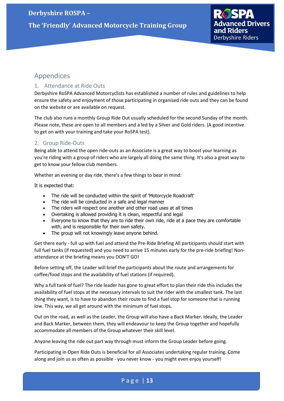# Appendices

#### 1. Attendance at Ride Outs

Derbyshire RoSPA Advanced Motorcyclists has established a number of rules and guidelines to help ensure the safety and enjoyment of those participating in organised ride outs and they can be found on the website or are available on request.

The club also runs a monthly Group Ride Out usually scheduled for the second Sunday of the month. Please note, these are open to all members and a led by a Silver and Gold riders. (A good incentive to get on with your training and take your RoSPA test).

#### 2. Group Ride-Outs

Being able to attend the open ride-outs as an Associate is a great way to boost your learning as you're riding with a group of riders who are largely all doing the same thing. It's also a great way to get to know your fellow club members.

Whether an evening or day ride, there's a few things to bear in mind:

It is expected that:

- The ride will be conducted within the spirit of 'Motorcycle Roadcraft'
- The ride will be conducted in a safe and legal manner
- The riders will respect one another and other road uses at all times
- Overtaking is allowed providing it is clean, respectful and legal
- Everyone to know that they are to ride their own ride, ride at a pace they are comfortable with, and is responsible for their own safety.
- The group will not knowingly leave anyone behind.

Get there early - full up with fuel and attend the Pre-Ride Briefing All participants should start with full fuel tanks (if requested) and you need to arrive 15 minutes early for the pre-ride briefing! Nonattendance at the briefing means you DON'T GO!

Before setting off, the Leader will brief the participants about the route and arrangements for coffee/food stops and the availability of fuel stations (if required).

Why a full tank of fuel? The ride leader has gone to great effort to plan their ride this includes the availability of fuel stops at the necessary intervals to suit the rider with the smallest tank. The last thing they want, is to have to abandon their route to find a fuel stop for someone that is running low. This way, we all get around with the minimum of fuel stops.

Out on the road, as well as the Leader, the Group will also have a Back Marker. Ideally, the Leader and Back Marker, between them, they will endeavour to keep the Group together and hopefully accommodate all members of the Group whatever their skill level.

Anyone leaving the ride out part way through must inform the Group Leader before going.

Participating in Open Ride Outs is beneficial for all Associates undertaking regular training. Come along and join us as often as possible - you never know - you might even enjoy yourself!

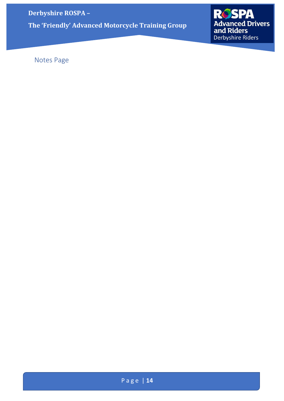The 'Friendly' Advanced Motorcycle Training Group

**ROSPA Advanced Drivers**<br>and Riders Derbyshire Riders

Notes Page